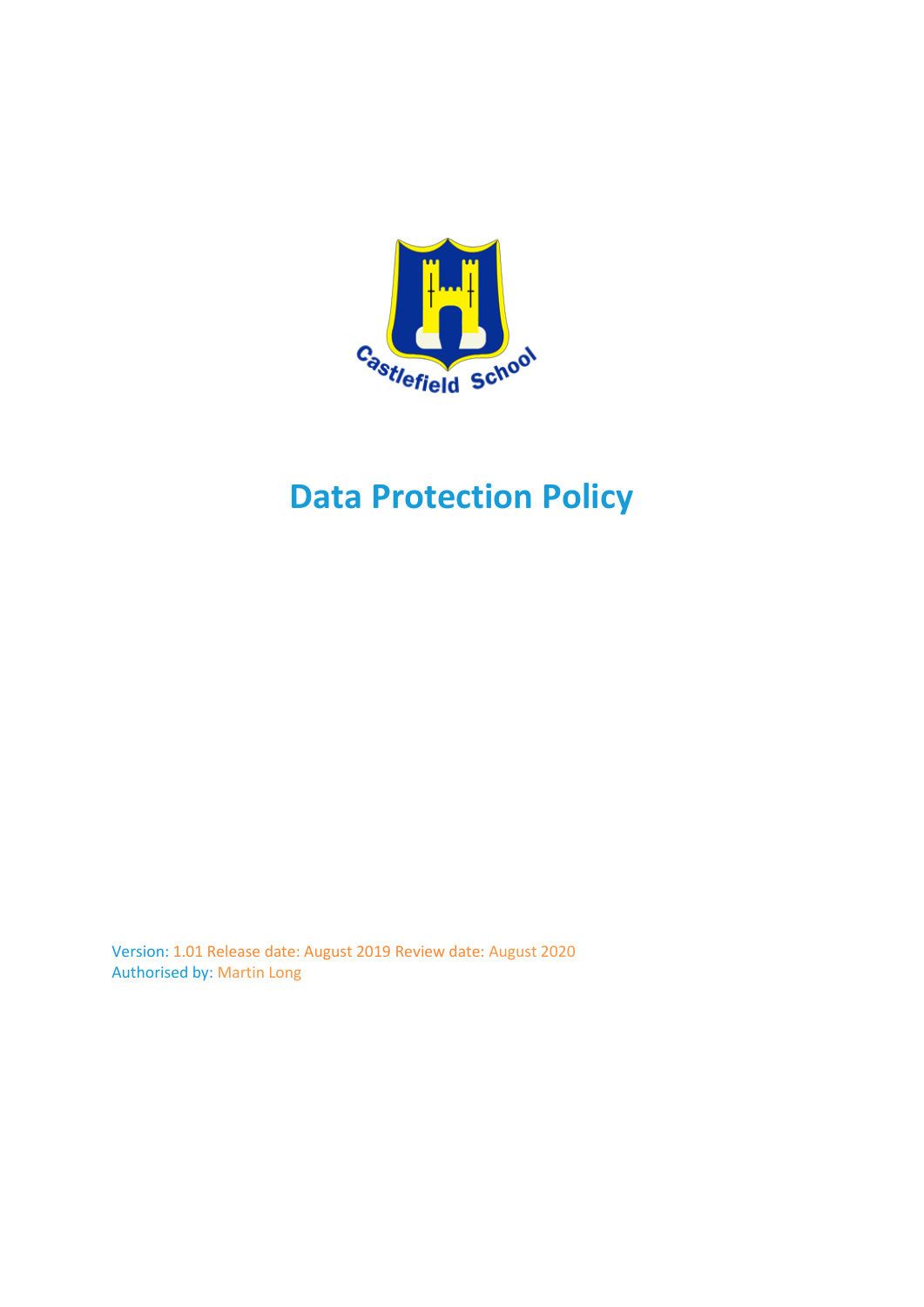

# **Data Protection Policy**

Version: 1.01 Release date: August 2019 Review date: August 2020 Authorised by: Martin Long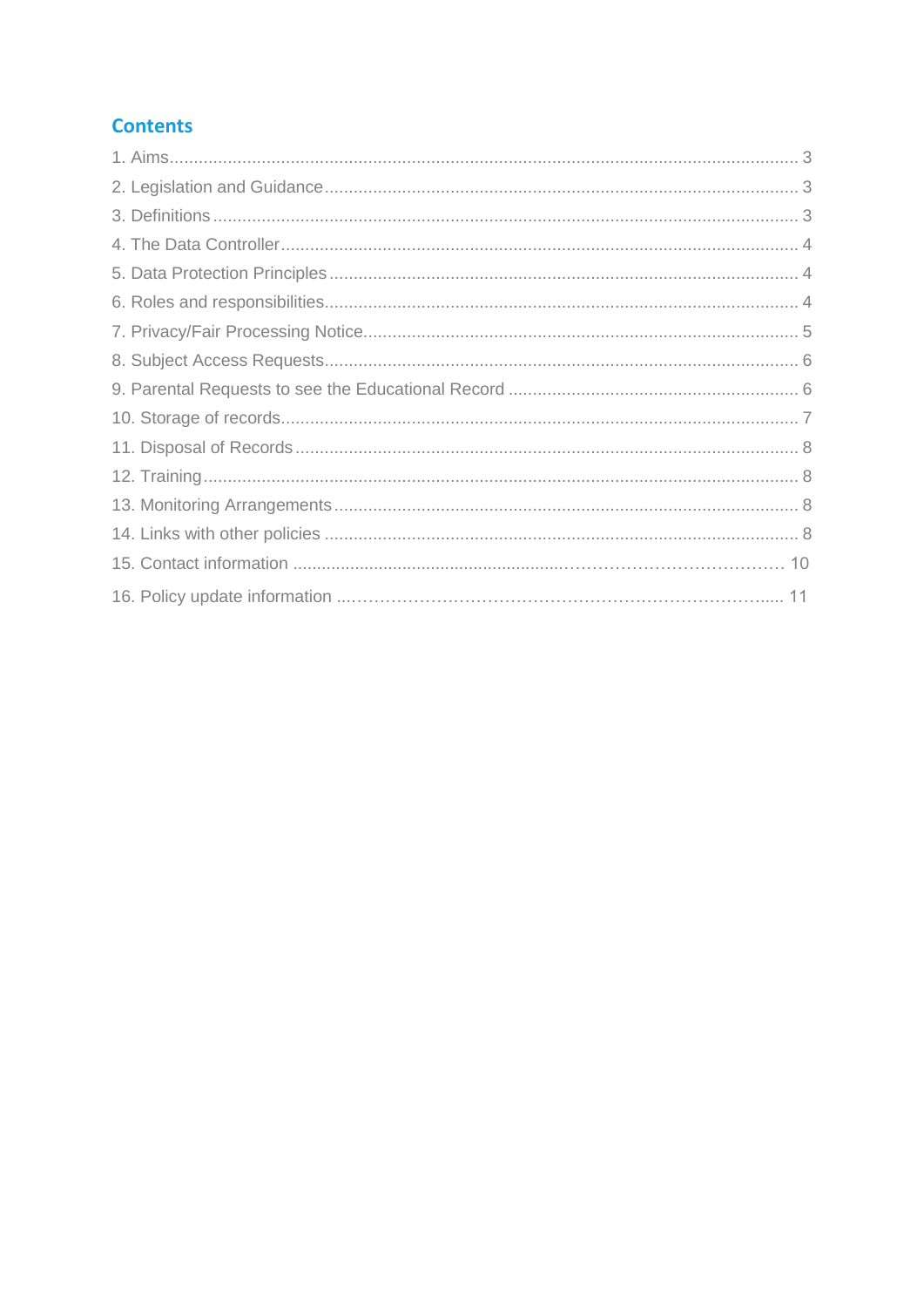#### **Contents**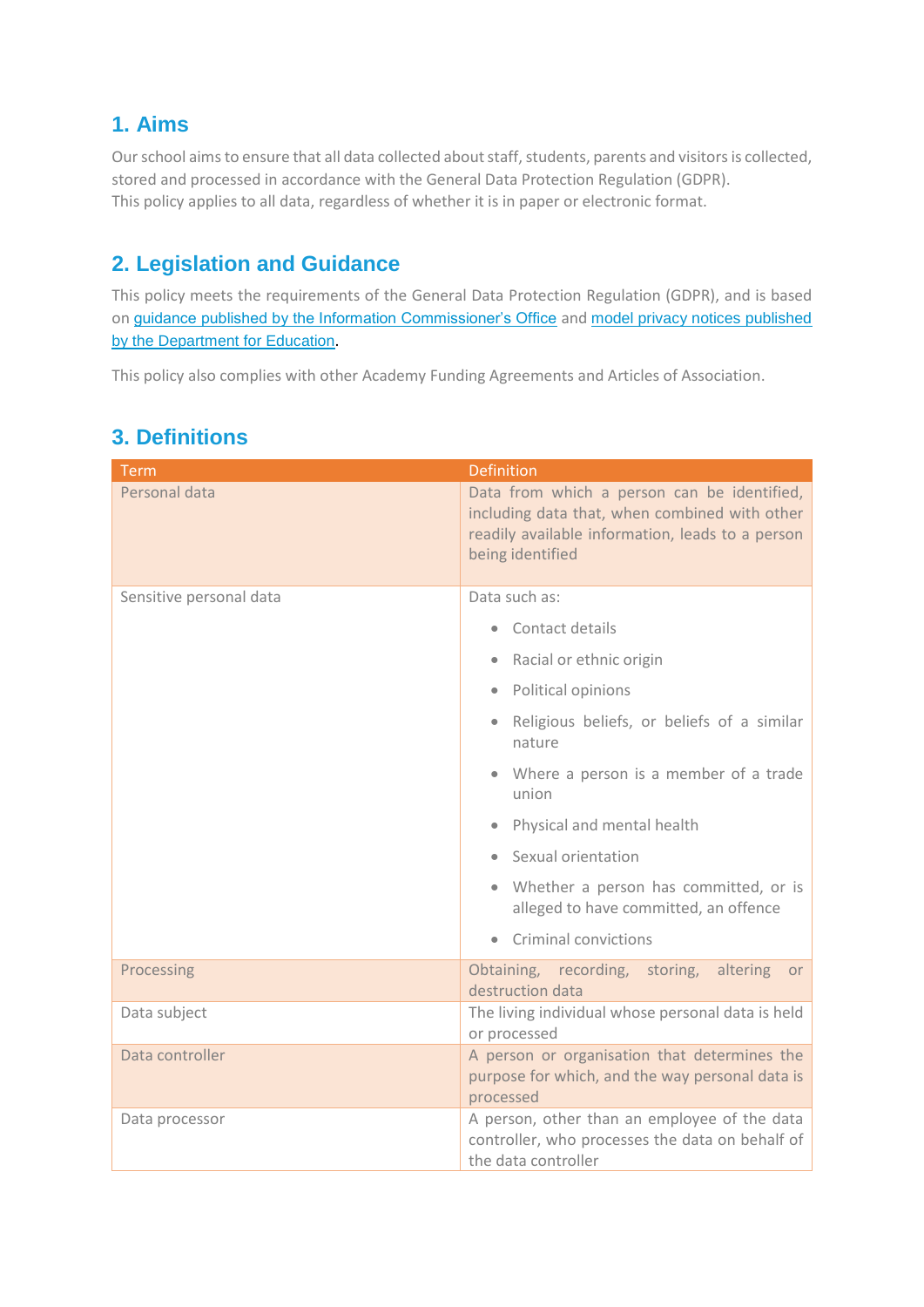## **1. Aims**

Our school aims to ensure that all data collected about staff, students, parents and visitors is collected, stored and processed in accordance with the General Data Protection Regulation (GDPR). This policy applies to all data, regardless of whether it is in paper or electronic format.

## **2. Legislation and Guidance**

This policy meets the requirements of the General Data Protection Regulation (GDPR), and is based on [guidance published by the Information Commissioner's Office](https://ico.org.uk/for-organisations/guide-to-data-protection/) and [model privacy notices published](https://www.gov.uk/government/publications/data-protection-and-privacy-privacy-notices)  [by the Department for Education](https://www.gov.uk/government/publications/data-protection-and-privacy-privacy-notices).

This policy also complies with other Academy Funding Agreements and Articles of Association.

| <b>Term</b>             | <b>Definition</b>                                                                                                                                                    |  |
|-------------------------|----------------------------------------------------------------------------------------------------------------------------------------------------------------------|--|
| Personal data           | Data from which a person can be identified,<br>including data that, when combined with other<br>readily available information, leads to a person<br>being identified |  |
| Sensitive personal data | Data such as:                                                                                                                                                        |  |
|                         | Contact details                                                                                                                                                      |  |
|                         | Racial or ethnic origin                                                                                                                                              |  |
|                         | Political opinions<br>$\bullet$                                                                                                                                      |  |
|                         | Religious beliefs, or beliefs of a similar<br>$\bullet$<br>nature                                                                                                    |  |
|                         | • Where a person is a member of a trade<br>union                                                                                                                     |  |
|                         | Physical and mental health                                                                                                                                           |  |
|                         | Sexual orientation                                                                                                                                                   |  |
|                         | • Whether a person has committed, or is<br>alleged to have committed, an offence                                                                                     |  |
|                         | Criminal convictions                                                                                                                                                 |  |
| Processing              | Obtaining, recording, storing,<br>altering<br><b>or</b><br>destruction data                                                                                          |  |
| Data subject            | The living individual whose personal data is held<br>or processed                                                                                                    |  |
| Data controller         | A person or organisation that determines the<br>purpose for which, and the way personal data is<br>processed                                                         |  |
| Data processor          | A person, other than an employee of the data<br>controller, who processes the data on behalf of<br>the data controller                                               |  |

## **3. Definitions**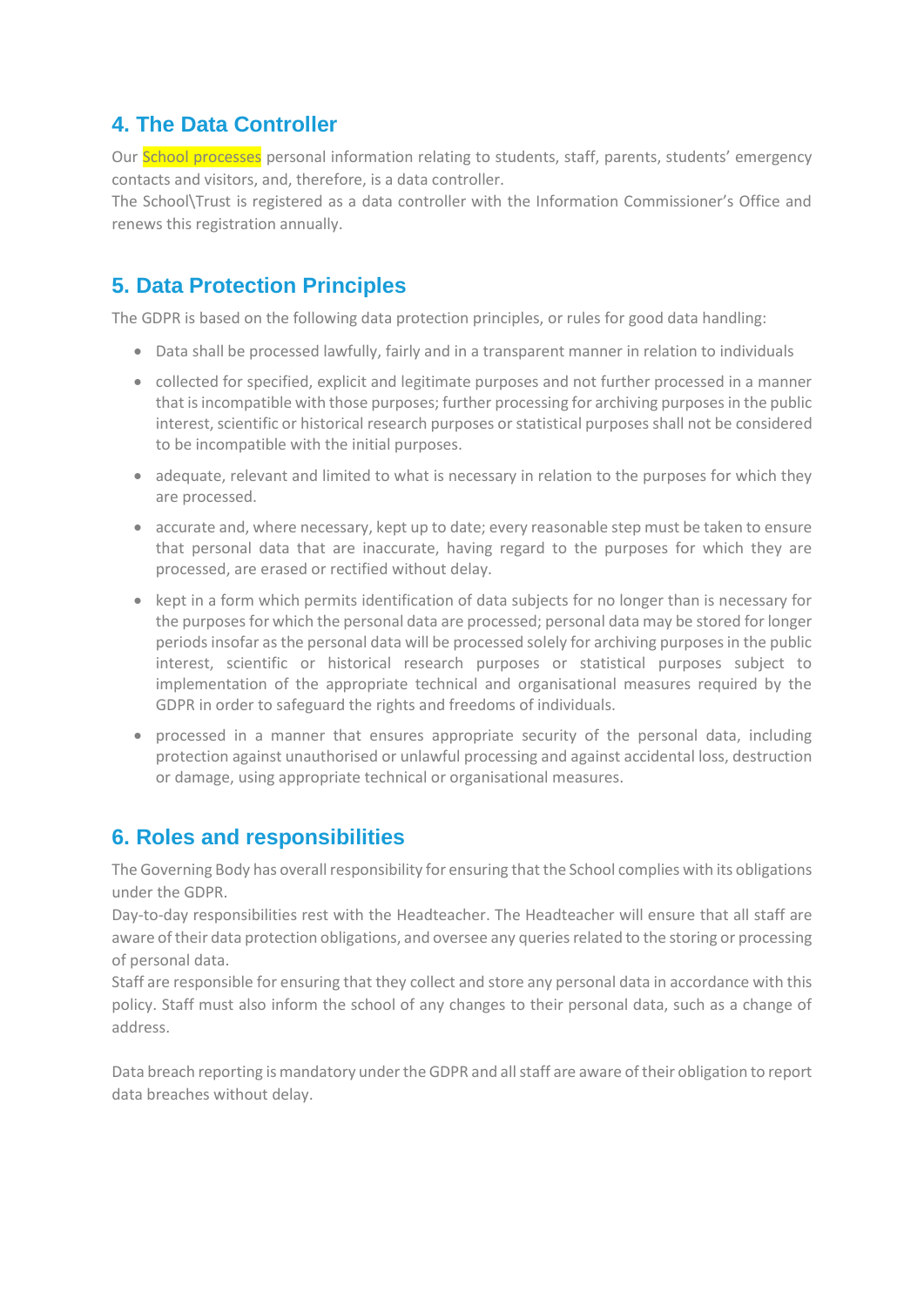#### **4. The Data Controller**

Our **School processes** personal information relating to students, staff, parents, students' emergency contacts and visitors, and, therefore, is a data controller.

The School\Trust is registered as a data controller with the Information Commissioner's Office and renews this registration annually.

## **5. Data Protection Principles**

The GDPR is based on the following data protection principles, or rules for good data handling:

- Data shall be processed lawfully, fairly and in a transparent manner in relation to individuals
- collected for specified, explicit and legitimate purposes and not further processed in a manner that is incompatible with those purposes; further processing for archiving purposes in the public interest, scientific or historical research purposes or statistical purposes shall not be considered to be incompatible with the initial purposes.
- adequate, relevant and limited to what is necessary in relation to the purposes for which they are processed.
- accurate and, where necessary, kept up to date; every reasonable step must be taken to ensure that personal data that are inaccurate, having regard to the purposes for which they are processed, are erased or rectified without delay.
- kept in a form which permits identification of data subjects for no longer than is necessary for the purposes for which the personal data are processed; personal data may be stored for longer periods insofar as the personal data will be processed solely for archiving purposes in the public interest, scientific or historical research purposes or statistical purposes subject to implementation of the appropriate technical and organisational measures required by the GDPR in order to safeguard the rights and freedoms of individuals.
- processed in a manner that ensures appropriate security of the personal data, including protection against unauthorised or unlawful processing and against accidental loss, destruction or damage, using appropriate technical or organisational measures.

## **6. Roles and responsibilities**

The Governing Body has overall responsibility for ensuring that the School complies with its obligations under the GDPR.

Day-to-day responsibilities rest with the Headteacher. The Headteacher will ensure that all staff are aware of their data protection obligations, and oversee any queries related to the storing or processing of personal data.

Staff are responsible for ensuring that they collect and store any personal data in accordance with this policy. Staff must also inform the school of any changes to their personal data, such as a change of address.

Data breach reporting is mandatory under the GDPR and all staff are aware of their obligation to report data breaches without delay.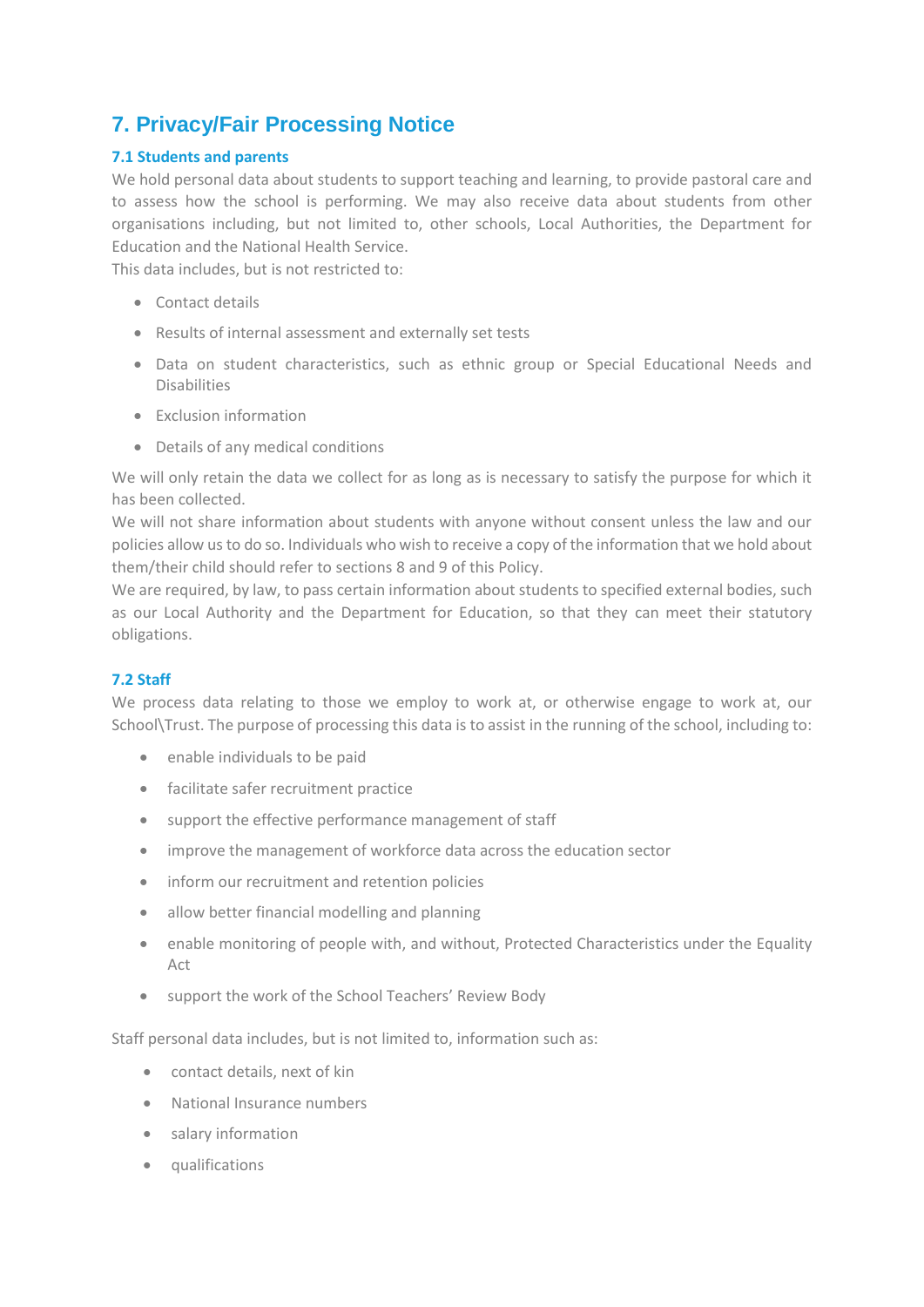## **7. Privacy/Fair Processing Notice**

#### **7.1 Students and parents**

We hold personal data about students to support teaching and learning, to provide pastoral care and to assess how the school is performing. We may also receive data about students from other organisations including, but not limited to, other schools, Local Authorities, the Department for Education and the National Health Service.

This data includes, but is not restricted to:

- Contact details
- Results of internal assessment and externally set tests
- Data on student characteristics, such as ethnic group or Special Educational Needs and Disabilities
- Exclusion information
- Details of any medical conditions

We will only retain the data we collect for as long as is necessary to satisfy the purpose for which it has been collected.

We will not share information about students with anyone without consent unless the law and our policies allow us to do so. Individuals who wish to receive a copy of the information that we hold about them/their child should refer to sections 8 and 9 of this Policy.

We are required, by law, to pass certain information about students to specified external bodies, such as our Local Authority and the Department for Education, so that they can meet their statutory obligations.

#### **7.2 Staff**

We process data relating to those we employ to work at, or otherwise engage to work at, our School\Trust. The purpose of processing this data is to assist in the running of the school, including to:

- enable individuals to be paid
- facilitate safer recruitment practice
- support the effective performance management of staff
- improve the management of workforce data across the education sector
- inform our recruitment and retention policies
- allow better financial modelling and planning
- enable monitoring of people with, and without, Protected Characteristics under the Equality Act
- support the work of the School Teachers' Review Body

Staff personal data includes, but is not limited to, information such as:

- contact details, next of kin
- National Insurance numbers
- salary information
- qualifications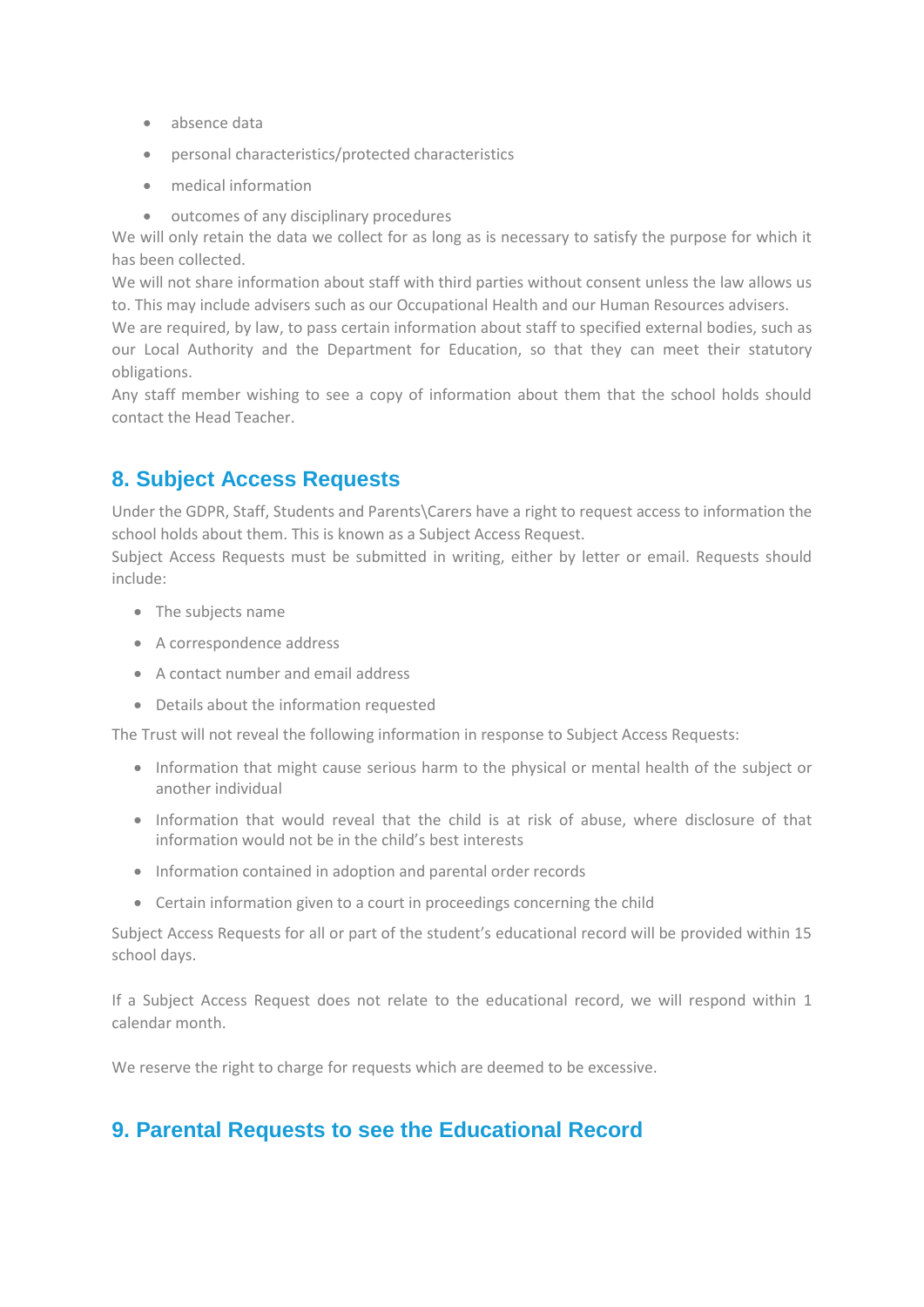- absence data
- personal characteristics/protected characteristics
- medical information
- outcomes of any disciplinary procedures

We will only retain the data we collect for as long as is necessary to satisfy the purpose for which it has been collected.

We will not share information about staff with third parties without consent unless the law allows us to. This may include advisers such as our Occupational Health and our Human Resources advisers.

We are required, by law, to pass certain information about staff to specified external bodies, such as our Local Authority and the Department for Education, so that they can meet their statutory obligations.

Any staff member wishing to see a copy of information about them that the school holds should contact the Head Teacher.

#### **8. Subject Access Requests**

Under the GDPR, Staff, Students and Parents\Carers have a right to request access to information the school holds about them. This is known as a Subject Access Request.

Subject Access Requests must be submitted in writing, either by letter or email. Requests should include:

- The subjects name
- A correspondence address
- A contact number and email address
- Details about the information requested

The Trust will not reveal the following information in response to Subject Access Requests:

- Information that might cause serious harm to the physical or mental health of the subject or another individual
- Information that would reveal that the child is at risk of abuse, where disclosure of that information would not be in the child's best interests
- Information contained in adoption and parental order records
- Certain information given to a court in proceedings concerning the child

Subject Access Requests for all or part of the student's educational record will be provided within 15 school days.

If a Subject Access Request does not relate to the educational record, we will respond within 1 calendar month.

We reserve the right to charge for requests which are deemed to be excessive.

#### **9. Parental Requests to see the Educational Record**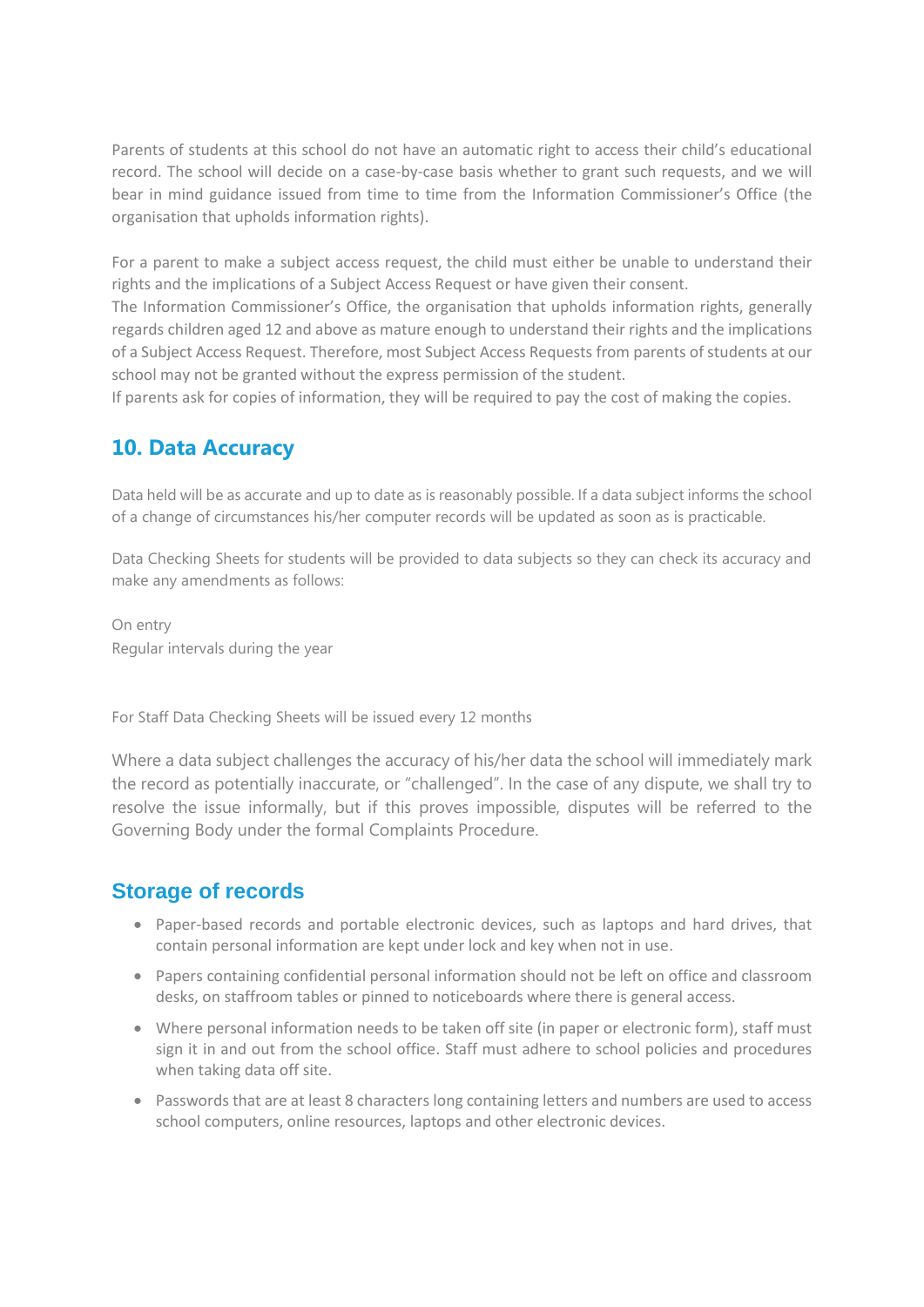Parents of students at this school do not have an automatic right to access their child's educational record. The school will decide on a case-by-case basis whether to grant such requests, and we will bear in mind guidance issued from time to time from the Information Commissioner's Office (the organisation that upholds information rights).

For a parent to make a subject access request, the child must either be unable to understand their rights and the implications of a Subject Access Request or have given their consent.

The Information Commissioner's Office, the organisation that upholds information rights, generally regards children aged 12 and above as mature enough to understand their rights and the implications of a Subject Access Request. Therefore, most Subject Access Requests from parents of students at our school may not be granted without the express permission of the student.

If parents ask for copies of information, they will be required to pay the cost of making the copies.

#### **10. Data Accuracy**

Data held will be as accurate and up to date as is reasonably possible. If a data subject informs the school of a change of circumstances his/her computer records will be updated as soon as is practicable.

Data Checking Sheets for students will be provided to data subjects so they can check its accuracy and make any amendments as follows:

On entry Regular intervals during the year

For Staff Data Checking Sheets will be issued every 12 months

Where a data subject challenges the accuracy of his/her data the school will immediately mark the record as potentially inaccurate, or "challenged". In the case of any dispute, we shall try to resolve the issue informally, but if this proves impossible, disputes will be referred to the Governing Body under the formal Complaints Procedure.

#### **Storage of records**

- Paper-based records and portable electronic devices, such as laptops and hard drives, that contain personal information are kept under lock and key when not in use.
- Papers containing confidential personal information should not be left on office and classroom desks, on staffroom tables or pinned to noticeboards where there is general access.
- Where personal information needs to be taken off site (in paper or electronic form), staff must sign it in and out from the school office. Staff must adhere to school policies and procedures when taking data off site.
- Passwords that are at least 8 characters long containing letters and numbers are used to access school computers, online resources, laptops and other electronic devices.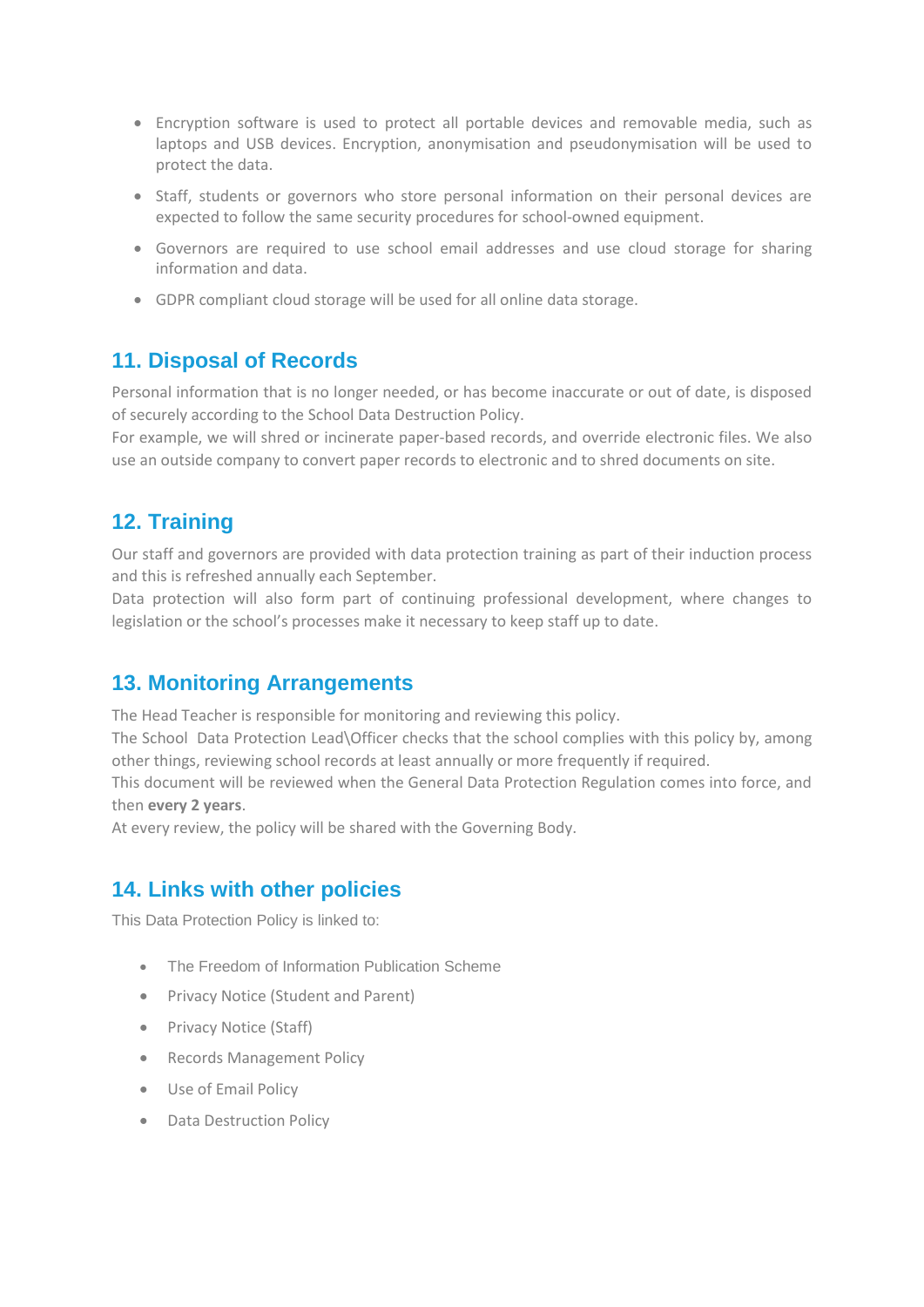- Encryption software is used to protect all portable devices and removable media, such as laptops and USB devices. Encryption, anonymisation and pseudonymisation will be used to protect the data.
- Staff, students or governors who store personal information on their personal devices are expected to follow the same security procedures for school-owned equipment.
- Governors are required to use school email addresses and use cloud storage for sharing information and data.
- GDPR compliant cloud storage will be used for all online data storage.

#### **11. Disposal of Records**

Personal information that is no longer needed, or has become inaccurate or out of date, is disposed of securely according to the School Data Destruction Policy.

For example, we will shred or incinerate paper-based records, and override electronic files. We also use an outside company to convert paper records to electronic and to shred documents on site.

#### **12. Training**

Our staff and governors are provided with data protection training as part of their induction process and this is refreshed annually each September.

Data protection will also form part of continuing professional development, where changes to legislation or the school's processes make it necessary to keep staff up to date.

#### **13. Monitoring Arrangements**

The Head Teacher is responsible for monitoring and reviewing this policy.

The School Data Protection Lead\Officer checks that the school complies with this policy by, among other things, reviewing school records at least annually or more frequently if required.

This document will be reviewed when the General Data Protection Regulation comes into force, and then **every 2 years**.

At every review, the policy will be shared with the Governing Body.

#### **14. Links with other policies**

This Data Protection Policy is linked to:

- The Freedom of Information Publication Scheme
- Privacy Notice (Student and Parent)
- Privacy Notice (Staff)
- Records Management Policy
- Use of Email Policy
- Data Destruction Policy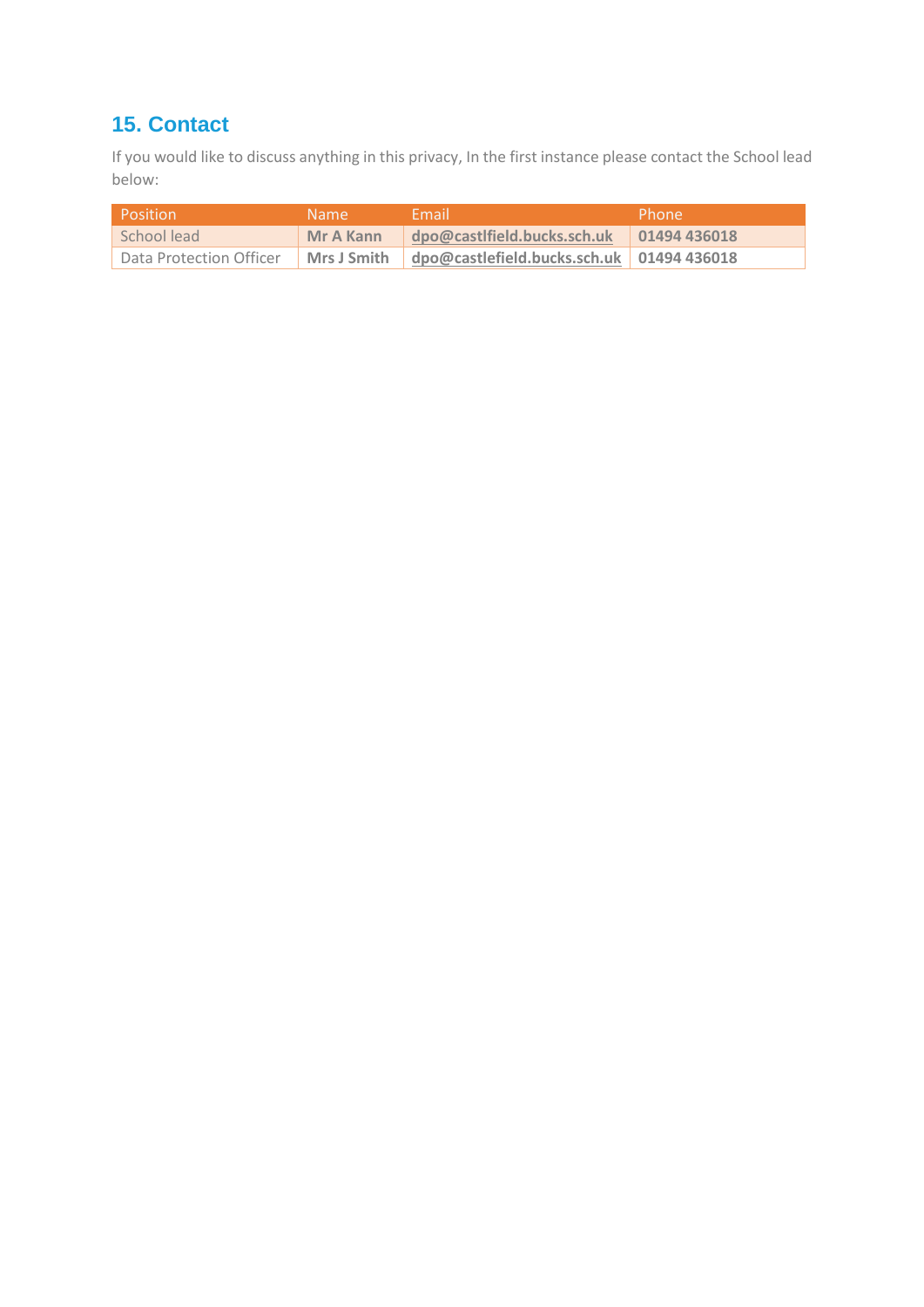# **15. Contact**

If you would like to discuss anything in this privacy, In the first instance please contact the School lead below:

| Position                | Name. | Fmail                                                     | Phone |
|-------------------------|-------|-----------------------------------------------------------|-------|
| School lead             |       | Mr A Kann   dpo@castlfield.bucks.sch.uk   01494 436018    |       |
| Data Protection Officer |       | Mrs J Smith   dpo@castlefield.bucks.sch.uk   01494 436018 |       |